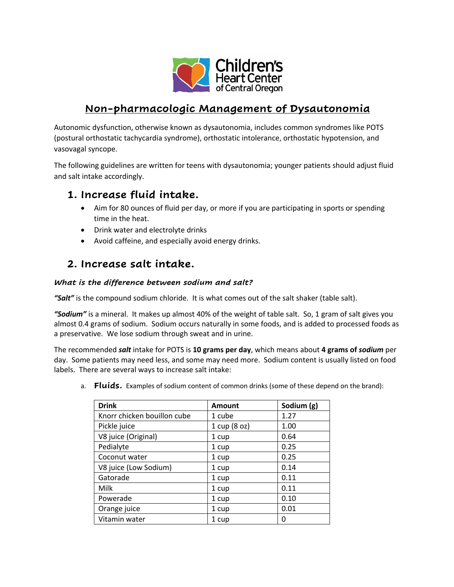

# **Non-pharmacologic Management of Dysautonomia**

Autonomic dysfunction, otherwise known as dysautonomia, includes common syndromes like POTS (postural orthostatic tachycardia syndrome), orthostatic intolerance, orthostatic hypotension, and vasovagal syncope.

The following guidelines are written for teens with dysautonomia; younger patients should adjust fluid and salt intake accordingly.

### **1. Increase fluid intake.**

- Aim for 80 ounces of fluid per day, or more if you are participating in sports or spending time in the heat.
- Drink water and electrolyte drinks
- Avoid caffeine, and especially avoid energy drinks.

### **2. Increase salt intake.**

#### *What is the difference between sodium and salt?*

*"Salt"* is the compound sodium chloride. It is what comes out of the salt shaker (table salt).

*"Sodium"* is a mineral. It makes up almost 40% of the weight of table salt. So, 1 gram of salt gives you almost 0.4 grams of sodium. Sodium occurs naturally in some foods, and is added to processed foods as a preservative. We lose sodium through sweat and in urine.

The recommended *salt* intake for POTS is **10 grams per day**, which means about **4 grams of** *sodium* per day. Some patients may need less, and some may need more. Sodium content is usually listed on food labels. There are several ways to increase salt intake:

a. **Fluids.** Examples of sodium content of common drinks (some of these depend on the brand):

| <b>Drink</b>                | <b>Amount</b> | Sodium (g) |
|-----------------------------|---------------|------------|
| Knorr chicken bouillon cube | 1 cube        | 1.27       |
| Pickle juice                | 1 cup (8 oz)  | 1.00       |
| V8 juice (Original)         | 1 cup         | 0.64       |
| Pedialyte                   | 1 cup         | 0.25       |
| Coconut water               | 1 cup         | 0.25       |
| V8 juice (Low Sodium)       | 1 cup         | 0.14       |
| Gatorade                    | 1 cup         | 0.11       |
| Milk                        | 1 cup         | 0.11       |
| Powerade                    | 1 cup         | 0.10       |
| Orange juice                | 1 cup         | 0.01       |
| Vitamin water               | 1 cup         | 0          |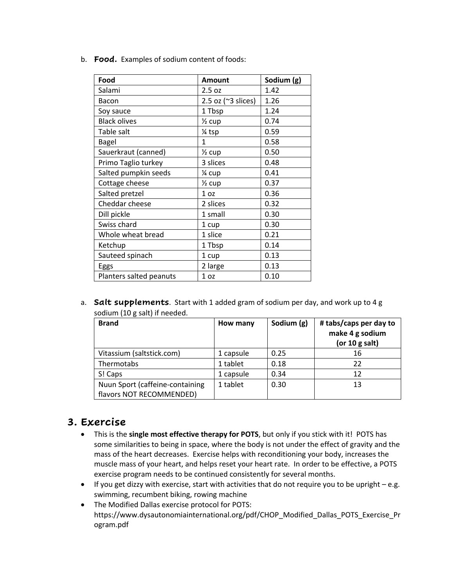b. **Food.** Examples of sodium content of foods:

| Food                    | Amount                         | Sodium (g) |
|-------------------------|--------------------------------|------------|
| Salami                  | 2.5 oz                         | 1.42       |
| Bacon                   | 2.5 oz $($ $\approx$ 3 slices) | 1.26       |
| Soy sauce               | 1 Tbsp                         | 1.24       |
| <b>Black olives</b>     | $\frac{1}{2}$ cup              | 0.74       |
| Table salt              | 1⁄4 tsp                        | 0.59       |
| <b>Bagel</b>            | 1                              | 0.58       |
| Sauerkraut (canned)     | $\frac{1}{2}$ cup              | 0.50       |
| Primo Taglio turkey     | 3 slices                       | 0.48       |
| Salted pumpkin seeds    | 1⁄4 cup                        | 0.41       |
| Cottage cheese          | $\frac{1}{2}$ cup              | 0.37       |
| Salted pretzel          | 1 <sub>oz</sub>                | 0.36       |
| Cheddar cheese          | 2 slices                       | 0.32       |
| Dill pickle             | 1 small                        | 0.30       |
| Swiss chard             | 1 cup                          | 0.30       |
| Whole wheat bread       | 1 slice                        | 0.21       |
| Ketchup                 | 1 Tbsp                         | 0.14       |
| Sauteed spinach         | 1 cup                          | 0.13       |
| Eggs                    | 2 large                        | 0.13       |
| Planters salted peanuts | 1 <sub>oz</sub>                | 0.10       |

a. **Salt supplements**. Start with 1 added gram of sodium per day, and work up to 4 g sodium (10 g salt) if needed.

| <b>Brand</b>                    | How many  | Sodium (g) | # tabs/caps per day to<br>make 4 g sodium<br>(or $10$ g salt) |
|---------------------------------|-----------|------------|---------------------------------------------------------------|
| Vitassium (saltstick.com)       | 1 capsule | 0.25       | 16                                                            |
| Thermotabs                      | 1 tablet  | 0.18       | 22                                                            |
| S! Caps                         | 1 capsule | 0.34       | 12                                                            |
| Nuun Sport (caffeine-containing | 1 tablet  | 0.30       | 13                                                            |
| flavors NOT RECOMMENDED)        |           |            |                                                               |

### **3. Exercise**

- This is the **single most effective therapy for POTS**, but only if you stick with it! POTS has some similarities to being in space, where the body is not under the effect of gravity and the mass of the heart decreases. Exercise helps with reconditioning your body, increases the muscle mass of your heart, and helps reset your heart rate. In order to be effective, a POTS exercise program needs to be continued consistently for several months.
- If you get dizzy with exercise, start with activities that do not require you to be upright e.g. swimming, recumbent biking, rowing machine
- The Modified Dallas exercise protocol for POTS: https://www.dysautonomiainternational.org/pdf/CHOP\_Modified\_Dallas\_POTS\_Exercise\_Pr ogram.pdf